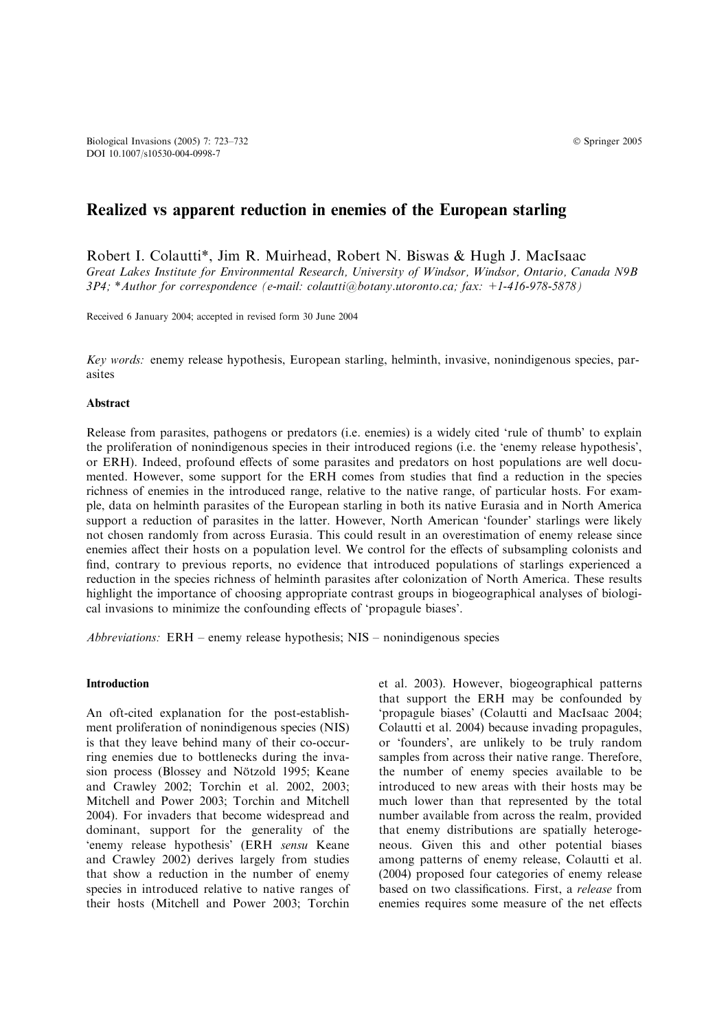# Realized vs apparent reduction in enemies of the European starling

Robert I. Colautti\*, Jim R. Muirhead, Robert N. Biswas & Hugh J. MacIsaac Great Lakes Institute for Environmental Research, University of Windsor, Windsor, Ontario, Canada N9B 3P4; \*Author for correspondence (e-mail: colautti@botany.utoronto.ca; fax: +1-416-978-5878)

Received 6 January 2004; accepted in revised form 30 June 2004

Key words: enemy release hypothesis, European starling, helminth, invasive, nonindigenous species, parasites

## **Abstract**

Release from parasites, pathogens or predators (i.e. enemies) is a widely cited 'rule of thumb' to explain the proliferation of nonindigenous species in their introduced regions (i.e. the 'enemy release hypothesis', or ERH). Indeed, profound effects of some parasites and predators on host populations are well documented. However, some support for the ERH comes from studies that find a reduction in the species richness of enemies in the introduced range, relative to the native range, of particular hosts. For example, data on helminth parasites of the European starling in both its native Eurasia and in North America support a reduction of parasites in the latter. However, North American 'founder' starlings were likely not chosen randomly from across Eurasia. This could result in an overestimation of enemy release since enemies affect their hosts on a population level. We control for the effects of subsampling colonists and find, contrary to previous reports, no evidence that introduced populations of starlings experienced a reduction in the species richness of helminth parasites after colonization of North America. These results highlight the importance of choosing appropriate contrast groups in biogeographical analyses of biological invasions to minimize the confounding effects of 'propagule biases'.

Abbreviations: ERH – enemy release hypothesis; NIS – nonindigenous species

#### Introduction

An oft-cited explanation for the post-establishment proliferation of nonindigenous species (NIS) is that they leave behind many of their co-occurring enemies due to bottlenecks during the invasion process (Blossey and Nötzold 1995; Keane and Crawley 2002; Torchin et al. 2002, 2003; Mitchell and Power 2003; Torchin and Mitchell 2004). For invaders that become widespread and dominant, support for the generality of the 'enemy release hypothesis' (ERH sensu Keane and Crawley 2002) derives largely from studies that show a reduction in the number of enemy species in introduced relative to native ranges of their hosts (Mitchell and Power 2003; Torchin et al. 2003). However, biogeographical patterns that support the ERH may be confounded by 'propagule biases' (Colautti and MacIsaac 2004; Colautti et al. 2004) because invading propagules, or 'founders', are unlikely to be truly random samples from across their native range. Therefore, the number of enemy species available to be introduced to new areas with their hosts may be much lower than that represented by the total number available from across the realm, provided that enemy distributions are spatially heterogeneous. Given this and other potential biases among patterns of enemy release, Colautti et al. (2004) proposed four categories of enemy release based on two classifications. First, a release from enemies requires some measure of the net effects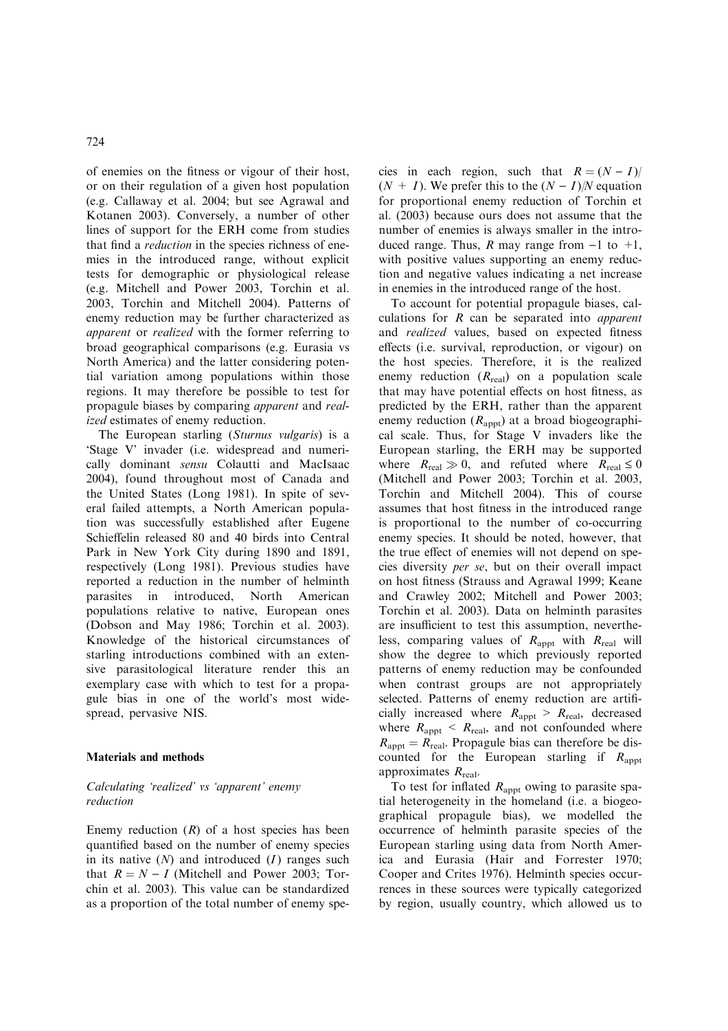of enemies on the fitness or vigour of their host, or on their regulation of a given host population (e.g. Callaway et al. 2004; but see Agrawal and Kotanen 2003). Conversely, a number of other lines of support for the ERH come from studies that find a reduction in the species richness of enemies in the introduced range, without explicit tests for demographic or physiological release (e.g. Mitchell and Power 2003, Torchin et al. 2003, Torchin and Mitchell 2004). Patterns of enemy reduction may be further characterized as apparent or realized with the former referring to broad geographical comparisons (e.g. Eurasia vs North America) and the latter considering potential variation among populations within those regions. It may therefore be possible to test for propagule biases by comparing apparent and realized estimates of enemy reduction.

The European starling (Sturnus vulgaris) is a 'Stage V' invader (i.e. widespread and numerically dominant sensu Colautti and MacIsaac 2004), found throughout most of Canada and the United States (Long 1981). In spite of several failed attempts, a North American population was successfully established after Eugene Schieffelin released 80 and 40 birds into Central Park in New York City during 1890 and 1891, respectively (Long 1981). Previous studies have reported a reduction in the number of helminth parasites in introduced, North American populations relative to native, European ones (Dobson and May 1986; Torchin et al. 2003). Knowledge of the historical circumstances of starling introductions combined with an extensive parasitological literature render this an exemplary case with which to test for a propagule bias in one of the world's most widespread, pervasive NIS.

## Materials and methods

# Calculating 'realized' vs 'apparent' enemy reduction

Enemy reduction  $(R)$  of a host species has been quantified based on the number of enemy species in its native  $(N)$  and introduced  $(I)$  ranges such that  $R = N - I$  (Mitchell and Power 2003; Torchin et al. 2003). This value can be standardized as a proportion of the total number of enemy species in each region, such that  $R = (N - I)$  $(N + I)$ . We prefer this to the  $(N - I)/N$  equation for proportional enemy reduction of Torchin et al. (2003) because ours does not assume that the number of enemies is always smaller in the introduced range. Thus, R may range from  $-1$  to  $+1$ , with positive values supporting an enemy reduction and negative values indicating a net increase in enemies in the introduced range of the host.

To account for potential propagule biases, calculations for  $R$  can be separated into *apparent* and realized values, based on expected fitness effects (i.e. survival, reproduction, or vigour) on the host species. Therefore, it is the realized enemy reduction  $(R_{\text{real}})$  on a population scale that may have potential effects on host fitness, as predicted by the ERH, rather than the apparent enemy reduction  $(R_{\text{appt}})$  at a broad biogeographical scale. Thus, for Stage V invaders like the European starling, the ERH may be supported where  $R_{\text{real}} \gg 0$ , and refuted where  $R_{\text{real}} \le 0$ (Mitchell and Power 2003; Torchin et al. 2003, Torchin and Mitchell 2004). This of course assumes that host fitness in the introduced range is proportional to the number of co-occurring enemy species. It should be noted, however, that the true effect of enemies will not depend on species diversity per se, but on their overall impact on host fitness (Strauss and Agrawal 1999; Keane and Crawley 2002; Mitchell and Power 2003; Torchin et al. 2003). Data on helminth parasites are insufficient to test this assumption, nevertheless, comparing values of  $R_{\text{appt}}$  with  $R_{\text{real}}$  will show the degree to which previously reported patterns of enemy reduction may be confounded when contrast groups are not appropriately selected. Patterns of enemy reduction are artificially increased where  $R_{\text{appt}} > R_{\text{real}}$ , decreased where  $R_{\text{appt}} < R_{\text{real}}$ , and not confounded where  $R_{\text{apot}} = R_{\text{real}}$ . Propagule bias can therefore be discounted for the European starling if  $R<sub>anot</sub>$ approximates  $R_{\text{real}}$ .

To test for inflated  $R_{\text{apot}}$  owing to parasite spatial heterogeneity in the homeland (i.e. a biogeographical propagule bias), we modelled the occurrence of helminth parasite species of the European starling using data from North America and Eurasia (Hair and Forrester 1970; Cooper and Crites 1976). Helminth species occurrences in these sources were typically categorized by region, usually country, which allowed us to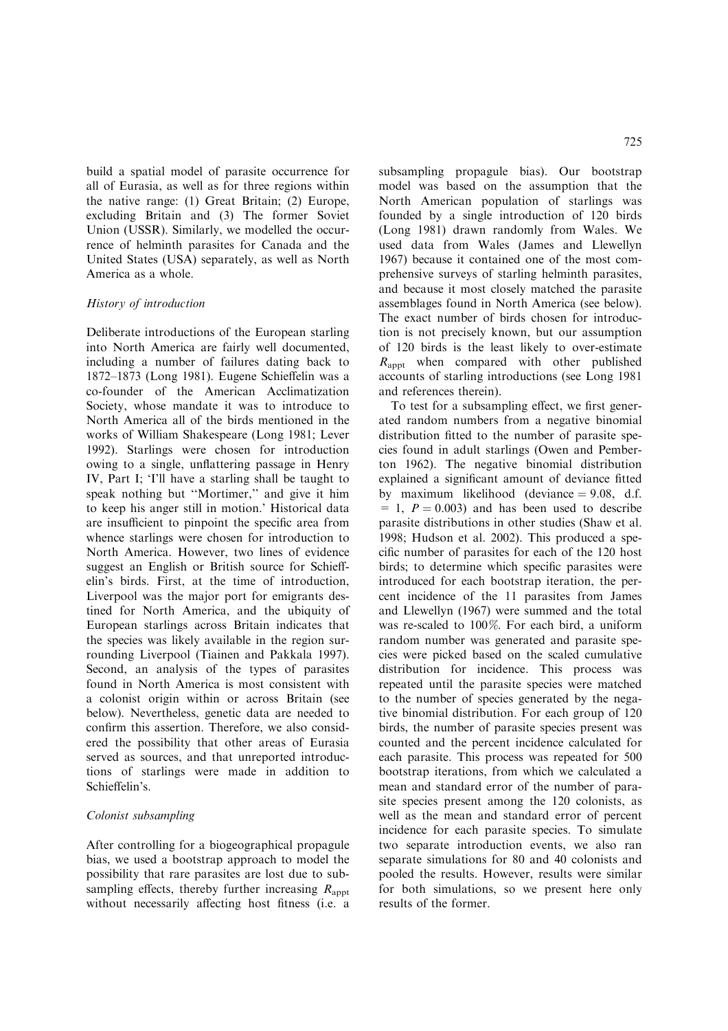build a spatial model of parasite occurrence for all of Eurasia, as well as for three regions within the native range: (1) Great Britain; (2) Europe, excluding Britain and (3) The former Soviet Union (USSR). Similarly, we modelled the occurrence of helminth parasites for Canada and the United States (USA) separately, as well as North America as a whole.

## History of introduction

Deliberate introductions of the European starling into North America are fairly well documented, including a number of failures dating back to 1872–1873 (Long 1981). Eugene Schieffelin was a co-founder of the American Acclimatization Society, whose mandate it was to introduce to North America all of the birds mentioned in the works of William Shakespeare (Long 1981; Lever 1992). Starlings were chosen for introduction owing to a single, unflattering passage in Henry IV, Part I; 'I'll have a starling shall be taught to speak nothing but ''Mortimer,'' and give it him to keep his anger still in motion.' Historical data are insufficient to pinpoint the specific area from whence starlings were chosen for introduction to North America. However, two lines of evidence suggest an English or British source for Schieffelin's birds. First, at the time of introduction, Liverpool was the major port for emigrants destined for North America, and the ubiquity of European starlings across Britain indicates that the species was likely available in the region surrounding Liverpool (Tiainen and Pakkala 1997). Second, an analysis of the types of parasites found in North America is most consistent with a colonist origin within or across Britain (see below). Nevertheless, genetic data are needed to confirm this assertion. Therefore, we also considered the possibility that other areas of Eurasia served as sources, and that unreported introductions of starlings were made in addition to Schieffelin's.

# Colonist subsampling

After controlling for a biogeographical propagule bias, we used a bootstrap approach to model the possibility that rare parasites are lost due to subsampling effects, thereby further increasing  $R_{\text{appt}}$ without necessarily affecting host fitness (i.e. a

subsampling propagule bias). Our bootstrap model was based on the assumption that the North American population of starlings was founded by a single introduction of 120 birds (Long 1981) drawn randomly from Wales. We used data from Wales (James and Llewellyn 1967) because it contained one of the most comprehensive surveys of starling helminth parasites, and because it most closely matched the parasite assemblages found in North America (see below). The exact number of birds chosen for introduction is not precisely known, but our assumption of 120 birds is the least likely to over-estimate  $R<sub>appt</sub>$  when compared with other published accounts of starling introductions (see Long 1981 and references therein).

To test for a subsampling effect, we first generated random numbers from a negative binomial distribution fitted to the number of parasite species found in adult starlings (Owen and Pemberton 1962). The negative binomial distribution explained a significant amount of deviance fitted by maximum likelihood (deviance  $= 9.08$ , d.f.  $= 1$ ,  $P = 0.003$  and has been used to describe parasite distributions in other studies (Shaw et al. 1998; Hudson et al. 2002). This produced a specific number of parasites for each of the 120 host birds; to determine which specific parasites were introduced for each bootstrap iteration, the percent incidence of the 11 parasites from James and Llewellyn (1967) were summed and the total was re-scaled to 100%. For each bird, a uniform random number was generated and parasite species were picked based on the scaled cumulative distribution for incidence. This process was repeated until the parasite species were matched to the number of species generated by the negative binomial distribution. For each group of 120 birds, the number of parasite species present was counted and the percent incidence calculated for each parasite. This process was repeated for 500 bootstrap iterations, from which we calculated a mean and standard error of the number of parasite species present among the 120 colonists, as well as the mean and standard error of percent incidence for each parasite species. To simulate two separate introduction events, we also ran separate simulations for 80 and 40 colonists and pooled the results. However, results were similar for both simulations, so we present here only results of the former.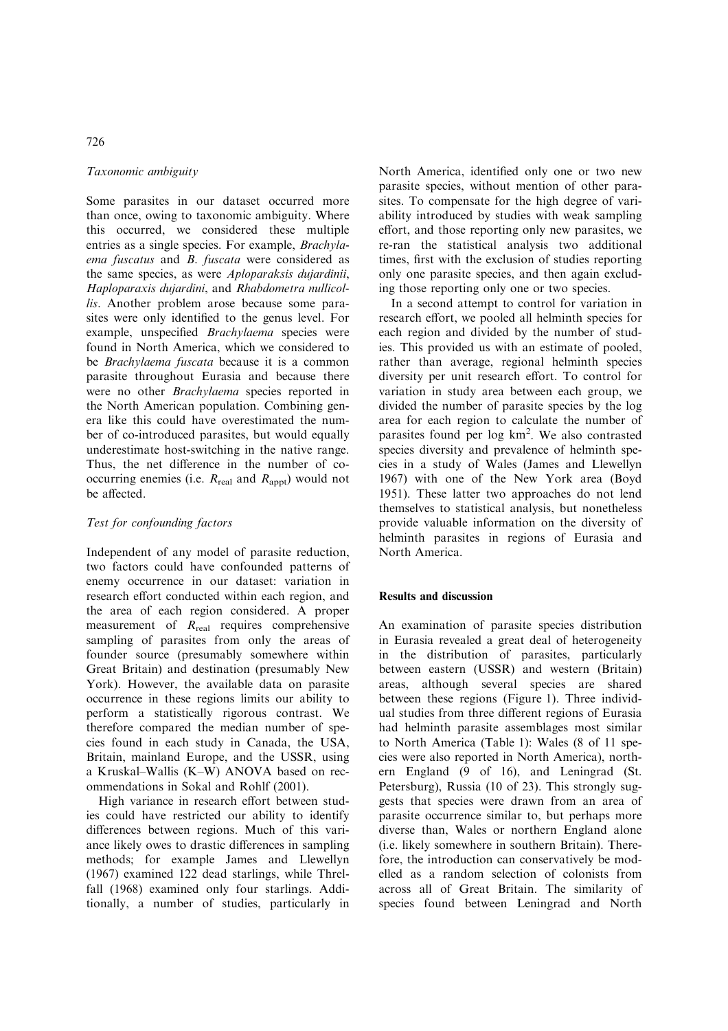# Taxonomic ambiguity

Some parasites in our dataset occurred more than once, owing to taxonomic ambiguity. Where this occurred, we considered these multiple entries as a single species. For example, Brachylaema fuscatus and B. fuscata were considered as the same species, as were Aploparaksis dujardinii, Haploparaxis dujardini, and Rhabdometra nullicollis. Another problem arose because some parasites were only identified to the genus level. For example, unspecified Brachylaema species were found in North America, which we considered to be Brachylaema fuscata because it is a common parasite throughout Eurasia and because there were no other Brachylaema species reported in the North American population. Combining genera like this could have overestimated the number of co-introduced parasites, but would equally underestimate host-switching in the native range. Thus, the net difference in the number of cooccurring enemies (i.e.  $R_{\text{real}}$  and  $R_{\text{apot}}$ ) would not be affected.

## Test for confounding factors

Independent of any model of parasite reduction, two factors could have confounded patterns of enemy occurrence in our dataset: variation in research effort conducted within each region, and the area of each region considered. A proper measurement of  $R_{\text{real}}$  requires comprehensive sampling of parasites from only the areas of founder source (presumably somewhere within Great Britain) and destination (presumably New York). However, the available data on parasite occurrence in these regions limits our ability to perform a statistically rigorous contrast. We therefore compared the median number of species found in each study in Canada, the USA, Britain, mainland Europe, and the USSR, using a Kruskal–Wallis (K–W) ANOVA based on recommendations in Sokal and Rohlf (2001).

High variance in research effort between studies could have restricted our ability to identify differences between regions. Much of this variance likely owes to drastic differences in sampling methods; for example James and Llewellyn (1967) examined 122 dead starlings, while Threlfall (1968) examined only four starlings. Additionally, a number of studies, particularly in North America, identified only one or two new parasite species, without mention of other parasites. To compensate for the high degree of variability introduced by studies with weak sampling effort, and those reporting only new parasites, we re-ran the statistical analysis two additional times, first with the exclusion of studies reporting only one parasite species, and then again excluding those reporting only one or two species.

In a second attempt to control for variation in research effort, we pooled all helminth species for each region and divided by the number of studies. This provided us with an estimate of pooled, rather than average, regional helminth species diversity per unit research effort. To control for variation in study area between each group, we divided the number of parasite species by the log area for each region to calculate the number of parasites found per log km<sup>2</sup>. We also contrasted species diversity and prevalence of helminth species in a study of Wales (James and Llewellyn 1967) with one of the New York area (Boyd 1951). These latter two approaches do not lend themselves to statistical analysis, but nonetheless provide valuable information on the diversity of helminth parasites in regions of Eurasia and North America.

## Results and discussion

An examination of parasite species distribution in Eurasia revealed a great deal of heterogeneity in the distribution of parasites, particularly between eastern (USSR) and western (Britain) areas, although several species are shared between these regions (Figure 1). Three individual studies from three different regions of Eurasia had helminth parasite assemblages most similar to North America (Table 1): Wales (8 of 11 species were also reported in North America), northern England (9 of 16), and Leningrad (St. Petersburg), Russia (10 of 23). This strongly suggests that species were drawn from an area of parasite occurrence similar to, but perhaps more diverse than, Wales or northern England alone (i.e. likely somewhere in southern Britain). Therefore, the introduction can conservatively be modelled as a random selection of colonists from across all of Great Britain. The similarity of species found between Leningrad and North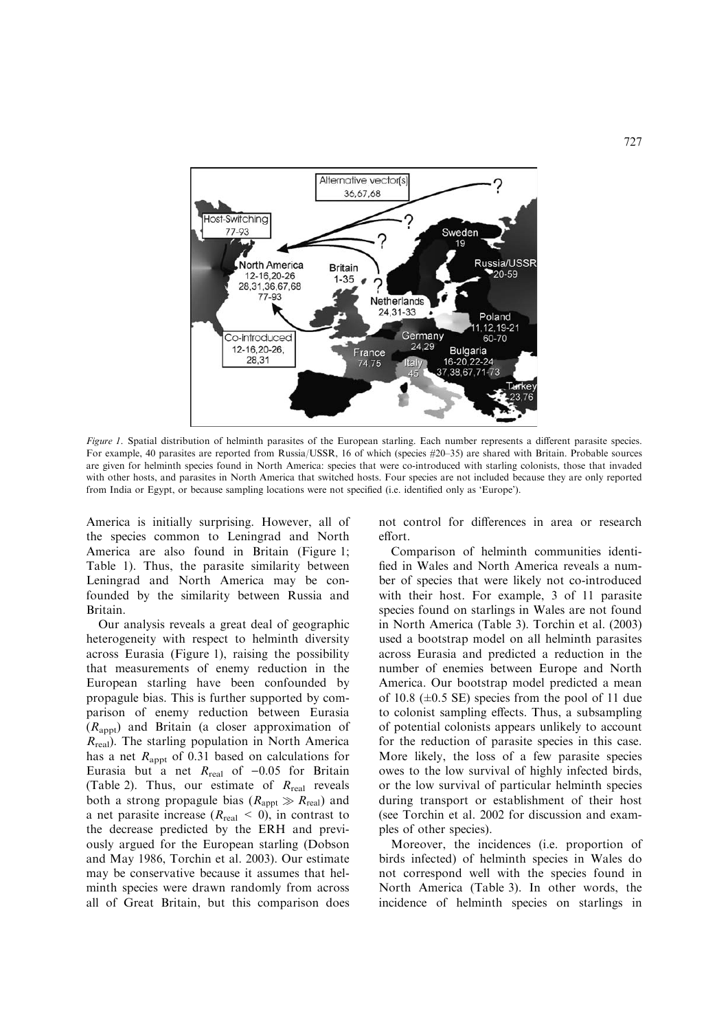

Figure 1. Spatial distribution of helminth parasites of the European starling. Each number represents a different parasite species. For example, 40 parasites are reported from Russia/USSR, 16 of which (species #20–35) are shared with Britain. Probable sources are given for helminth species found in North America: species that were co-introduced with starling colonists, those that invaded with other hosts, and parasites in North America that switched hosts. Four species are not included because they are only reported from India or Egypt, or because sampling locations were not specified (i.e. identified only as 'Europe').

America is initially surprising. However, all of the species common to Leningrad and North America are also found in Britain (Figure 1; Table 1). Thus, the parasite similarity between Leningrad and North America may be confounded by the similarity between Russia and Britain.

Our analysis reveals a great deal of geographic heterogeneity with respect to helminth diversity across Eurasia (Figure 1), raising the possibility that measurements of enemy reduction in the European starling have been confounded by propagule bias. This is further supported by comparison of enemy reduction between Eurasia  $(R<sub>apot</sub>)$  and Britain (a closer approximation of  $R_{\text{real}}$ ). The starling population in North America has a net  $R_{\text{appt}}$  of 0.31 based on calculations for Eurasia but a net  $R_{\text{real}}$  of -0.05 for Britain (Table 2). Thus, our estimate of  $R_{\text{real}}$  reveals both a strong propagule bias ( $R_{\text{appt}} \gg R_{\text{real}}$ ) and a net parasite increase ( $R_{\text{real}} < 0$ ), in contrast to the decrease predicted by the ERH and previously argued for the European starling (Dobson and May 1986, Torchin et al. 2003). Our estimate may be conservative because it assumes that helminth species were drawn randomly from across all of Great Britain, but this comparison does

not control for differences in area or research effort.

Comparison of helminth communities identified in Wales and North America reveals a number of species that were likely not co-introduced with their host. For example, 3 of 11 parasite species found on starlings in Wales are not found in North America (Table 3). Torchin et al. (2003) used a bootstrap model on all helminth parasites across Eurasia and predicted a reduction in the number of enemies between Europe and North America. Our bootstrap model predicted a mean of 10.8  $(\pm 0.5 \text{ SE})$  species from the pool of 11 due to colonist sampling effects. Thus, a subsampling of potential colonists appears unlikely to account for the reduction of parasite species in this case. More likely, the loss of a few parasite species owes to the low survival of highly infected birds, or the low survival of particular helminth species during transport or establishment of their host (see Torchin et al. 2002 for discussion and examples of other species).

Moreover, the incidences (i.e. proportion of birds infected) of helminth species in Wales do not correspond well with the species found in North America (Table 3). In other words, the incidence of helminth species on starlings in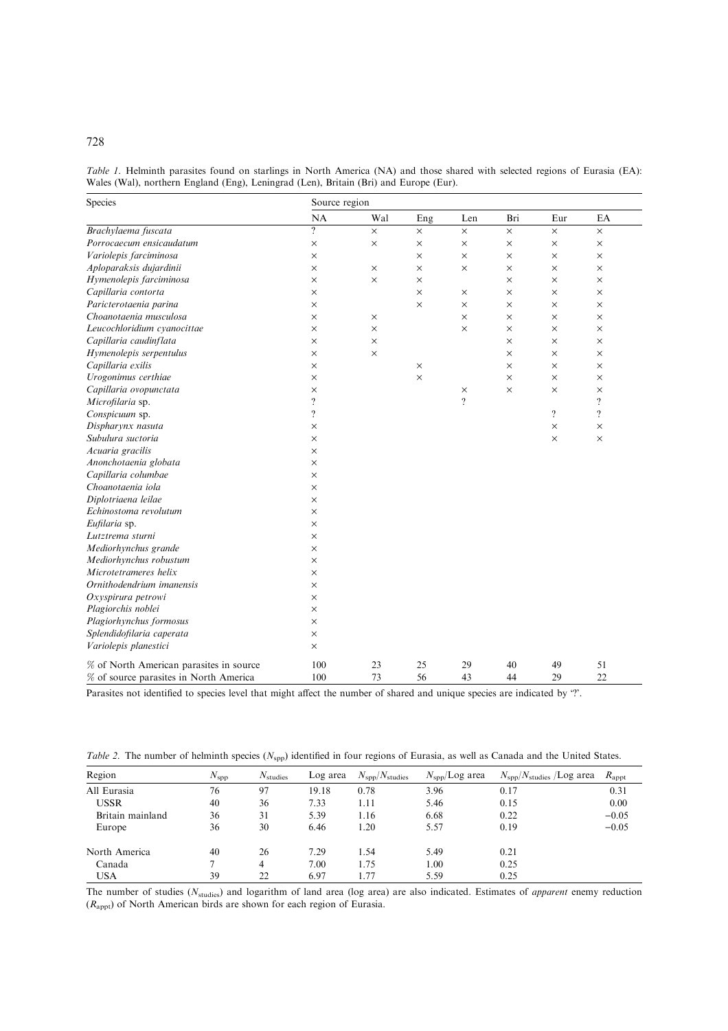|  | Table 1. Helminth parasites found on starlings in North America (NA) and those shared with selected regions of Eurasia (EA): |  |  |  |  |  |  |  |
|--|------------------------------------------------------------------------------------------------------------------------------|--|--|--|--|--|--|--|
|  | Wales (Wal), northern England (Eng), Leningrad (Len), Britain (Bri) and Europe (Eur).                                        |  |  |  |  |  |  |  |

| Species                                 | Source region      |          |          |          |          |                    |                          |  |  |  |
|-----------------------------------------|--------------------|----------|----------|----------|----------|--------------------|--------------------------|--|--|--|
|                                         | NA                 | Wal      | Eng      | Len      | Bri      | Eur                | EA                       |  |  |  |
| Brachylaema fuscata                     | $\gamma$           | $\times$ | $\times$ | $\times$ | $\times$ | $\times$           | $\times$                 |  |  |  |
| Porrocaecum ensicaudatum                | $\times$           | $\times$ | $\times$ | $\times$ | $\times$ | $\times$           | X                        |  |  |  |
| Variolepis farciminosa                  | $\times$           |          | $\times$ | $\times$ | $\times$ | $\times$           | X                        |  |  |  |
| Aploparaksis dujardinii                 | $\times$           | $\times$ | $\times$ | $\times$ | $\times$ | $\times$           | $\times$                 |  |  |  |
| Hymenolepis farciminosa                 | $\times$           | $\times$ | $\times$ |          | $\times$ | $\times$           | $\times$                 |  |  |  |
| Capillaria contorta                     | $\times$           |          | $\times$ | $\times$ | $\times$ | $\times$           | $\times$                 |  |  |  |
| Paricterotaenia parina                  | ×                  |          | $\times$ | $\times$ | $\times$ | $\times$           | X                        |  |  |  |
| Choanotaenia musculosa                  | $\times$           | $\times$ |          | $\times$ | $\times$ | $\times$           | X                        |  |  |  |
| Leucochloridium cvanocittae             | $\times$           | $\times$ |          | $\times$ | $\times$ | $\times$           | X                        |  |  |  |
| Capillaria caudinflata                  | $\times$           | $\times$ |          |          | $\times$ | $\times$           | $\times$                 |  |  |  |
| Hymenolepis serpentulus                 | ×                  | ×        |          |          | ×        | $\times$           | X                        |  |  |  |
| Capillaria exilis                       | $\times$           |          | $\times$ |          | $\times$ | $\times$           | $\times$                 |  |  |  |
| Urogonimus certhiae                     | $\times$           |          | $\times$ |          | $\times$ | $\times$           | $\times$                 |  |  |  |
| Capillaria ovopunctata                  | $\times$           |          |          | $\times$ | $\times$ | $\times$           | $\times$                 |  |  |  |
| Microfilaria sp.                        | $\overline{\cdot}$ |          |          | $\gamma$ |          |                    | $\overline{\mathcal{L}}$ |  |  |  |
| Conspicuum sp.                          | $\overline{\cdot}$ |          |          |          |          | $\overline{\cdot}$ | $\overline{\mathcal{L}}$ |  |  |  |
| Dispharynx nasuta                       | ×                  |          |          |          |          | $\times$           | $\times$                 |  |  |  |
| Subulura suctoria                       | $\times$           |          |          |          |          | $\times$           | $\times$                 |  |  |  |
| Acuaria gracilis                        | ×                  |          |          |          |          |                    |                          |  |  |  |
| Anonchotaenia globata                   | $\times$           |          |          |          |          |                    |                          |  |  |  |
| Capillaria columbae                     | $\times$           |          |          |          |          |                    |                          |  |  |  |
| Choanotaenia iola                       | $\times$           |          |          |          |          |                    |                          |  |  |  |
| Diplotriaena leilae                     | $\times$           |          |          |          |          |                    |                          |  |  |  |
| Echinostoma revolutum                   | $\times$           |          |          |          |          |                    |                          |  |  |  |
| Eufilaria sp.                           | $\times$           |          |          |          |          |                    |                          |  |  |  |
| Lutztrema sturni                        | $\times$           |          |          |          |          |                    |                          |  |  |  |
| Mediorhynchus grande                    | $\times$           |          |          |          |          |                    |                          |  |  |  |
| Mediorhynchus robustum                  | ×                  |          |          |          |          |                    |                          |  |  |  |
| Microtetrameres helix                   | $\times$           |          |          |          |          |                    |                          |  |  |  |
| Ornithodendrium imanensis               | $\times$           |          |          |          |          |                    |                          |  |  |  |
| Oxyspirura petrowi                      | $\times$           |          |          |          |          |                    |                          |  |  |  |
| Plagiorchis noblei                      | $\times$           |          |          |          |          |                    |                          |  |  |  |
| Plagiorhynchus formosus                 | $\times$           |          |          |          |          |                    |                          |  |  |  |
| Splendidofilaria caperata               | $\times$           |          |          |          |          |                    |                          |  |  |  |
| Variolepis planestici                   | $\times$           |          |          |          |          |                    |                          |  |  |  |
| % of North American parasites in source | 100                | 23       | 25       | 29       | 40       | 49                 | 51                       |  |  |  |
| % of source parasites in North America  | 100                | 73       | 56       | 43       | 44       | 29                 | 22                       |  |  |  |

Parasites not identified to species level that might affect the number of shared and unique species are indicated by '?'.

|  | Table 2. The number of helminth species ( $N_{\rm spp}$ ) identified in four regions of Eurasia, as well as Canada and the United States. |  |  |  |  |  |  |  |  |  |  |  |  |  |  |  |
|--|-------------------------------------------------------------------------------------------------------------------------------------------|--|--|--|--|--|--|--|--|--|--|--|--|--|--|--|
|--|-------------------------------------------------------------------------------------------------------------------------------------------|--|--|--|--|--|--|--|--|--|--|--|--|--|--|--|

| Region           | $N_{\rm spp}$ | $N_{\text{studies}}$ | Log area | $N_{\rm spp}/N_{\rm studies}$ | $N_{\rm spp}/\rm Log$ area | $N_{\rm spp}/N_{\rm studies}$ /Log area | $R_{\rm appt}$ |
|------------------|---------------|----------------------|----------|-------------------------------|----------------------------|-----------------------------------------|----------------|
| All Eurasia      | 76            | 97                   | 19.18    | 0.78                          | 3.96                       | 0.17                                    | 0.31           |
| <b>USSR</b>      | 40            | 36                   | 7.33     | 1.11                          | 5.46                       | 0.15                                    | 0.00           |
| Britain mainland | 36            | 31                   | 5.39     | 1.16                          | 6.68                       | 0.22                                    | $-0.05$        |
| Europe           | 36            | 30                   | 6.46     | 1.20                          | 5.57                       | 0.19                                    | $-0.05$        |
| North America    | 40            | 26                   | 7.29     | 1.54                          | 5.49                       | 0.21                                    |                |
| Canada           |               | 4                    | 7.00     | 1.75                          | 1.00                       | 0.25                                    |                |
| <b>USA</b>       | 39            | 22                   | 6.97     | . . 77                        | 5.59                       | 0.25                                    |                |

The number of studies  $(N_{\text{studies}})$  and logarithm of land area (log area) are also indicated. Estimates of *apparent* enemy reduction  $(R<sub>appt</sub>)$  of North American birds are shown for each region of Eurasia.

# 728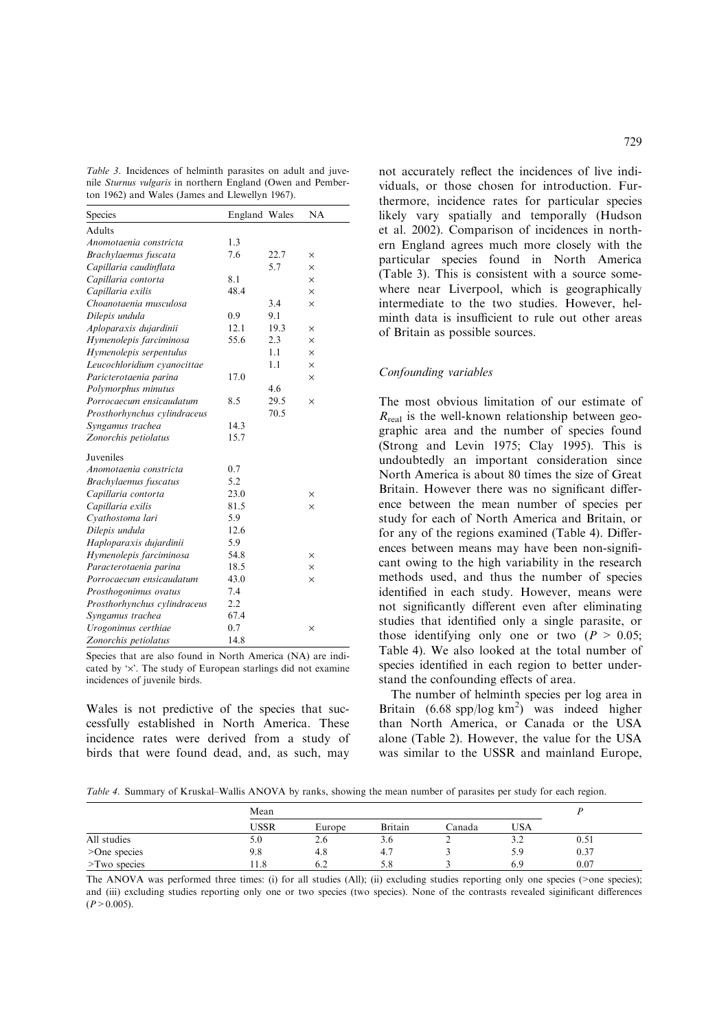Table 3. Incidences of helminth parasites on adult and juvenile Sturnus vulgaris in northern England (Owen and Pemberton 1962) and Wales (James and Llewellyn 1967).

| Species                      | England Wales |      | NA       |
|------------------------------|---------------|------|----------|
| <b>Adults</b>                |               |      |          |
| Anomotaenia constricta       | 1.3           |      |          |
| Brachylaemus fuscata         | 7.6           | 22.7 | $\times$ |
| Capillaria caudinflata       |               | 5.7  | $\times$ |
| Capillaria contorta          | 8.1           |      | $\times$ |
| Capillaria exilis            | 48.4          |      | $\times$ |
| Choanotaenia musculosa       |               | 3.4  | $\times$ |
| Dilepis undula               | 0.9           | 9.1  |          |
| Aploparaxis dujardinii       | 12.1          | 19.3 | $\times$ |
| Hymenolepis farciminosa      | 55.6          | 2.3  | ×        |
| Hymenolepis serpentulus      |               | 1.1  | $\times$ |
| Leucochloridium cyanocittae  |               | 1.1  | $\times$ |
| Paricterotaenia parina       | 17.0          |      | $\times$ |
| Polymorphus minutus          |               | 4.6  |          |
| Porrocaecum ensicaudatum     | 8.5           | 29.5 | $\times$ |
| Prosthorhynchus cylindraceus |               | 70.5 |          |
| Syngamus trachea             | 14.3          |      |          |
| Zonorchis petiolatus         | 15.7          |      |          |
| Juveniles                    |               |      |          |
| Anomotaenia constricta       | 0.7           |      |          |
| Brachylaemus fuscatus        | 5.2           |      |          |
| Capillaria contorta          | 23.0          |      | $\times$ |
| Capillaria exilis            | 81.5          |      | $\times$ |
| Cyathostoma lari             | 5.9           |      |          |
| Dilepis undula               | 12.6          |      |          |
| Haploparaxis dujardinii      | 5.9           |      |          |
| Hymenolepis farciminosa      | 54.8          |      | $\times$ |
| Paracterotaenia parina       | 18.5          |      | $\times$ |
| Porrocaecum ensicaudatum     | 43.0          |      | $\times$ |
| Prosthogonimus ovatus        | 7.4           |      |          |
| Prosthorhynchus cylindraceus | 2.2           |      |          |
| Syngamus trachea             | 67.4          |      |          |
| Urogonimus certhiae          | 0.7           |      | $\times$ |
| Zonorchis petiolatus         | 14.8          |      |          |

Species that are also found in North America (NA) are indicated by  $\forall$ . The study of European starlings did not examine incidences of juvenile birds.

Wales is not predictive of the species that successfully established in North America. These incidence rates were derived from a study of birds that were found dead, and, as such, may

not accurately reflect the incidences of live individuals, or those chosen for introduction. Furthermore, incidence rates for particular species likely vary spatially and temporally (Hudson et al. 2002). Comparison of incidences in northern England agrees much more closely with the particular species found in North America

(Table 3). This is consistent with a source somewhere near Liverpool, which is geographically intermediate to the two studies. However, helminth data is insufficient to rule out other areas of Britain as possible sources.

# Confounding variables

The most obvious limitation of our estimate of  $R_{\text{real}}$  is the well-known relationship between geographic area and the number of species found (Strong and Levin 1975; Clay 1995). This is undoubtedly an important consideration since North America is about 80 times the size of Great Britain. However there was no significant difference between the mean number of species per study for each of North America and Britain, or for any of the regions examined (Table 4). Differences between means may have been non-significant owing to the high variability in the research methods used, and thus the number of species identified in each study. However, means were not significantly different even after eliminating studies that identified only a single parasite, or those identifying only one or two  $(P > 0.05)$ ; Table 4). We also looked at the total number of species identified in each region to better understand the confounding effects of area.

The number of helminth species per log area in Britain (6.68 spp/log km<sup>2</sup>) was indeed higher than North America, or Canada or the USA alone (Table 2). However, the value for the USA was similar to the USSR and mainland Europe,

Table 4. Summary of Kruskal–Wallis ANOVA by ranks, showing the mean number of parasites per study for each region.

|                    | Mean        |          |         |          |       |      |
|--------------------|-------------|----------|---------|----------|-------|------|
|                    | <b>USSR</b> | Europe   | Britain | Canada   | USA   |      |
| All studies        | 5.0         | ◠<br>2.6 | 3.6     | <b>_</b> | ے . د | 0.51 |
| >One species       | 9.8         | 4.8      | 4.7     |          | 5.9   | 0.37 |
| $\geq$ Two species | 11.8        | 6.2      | 5.8     |          | 6.9   | 0.07 |

The ANOVA was performed three times: (i) for all studies (All); (ii) excluding studies reporting only one species (>one species); and (iii) excluding studies reporting only one or two species (two species). None of the contrasts revealed siginificant differences  $(P>0.005)$ .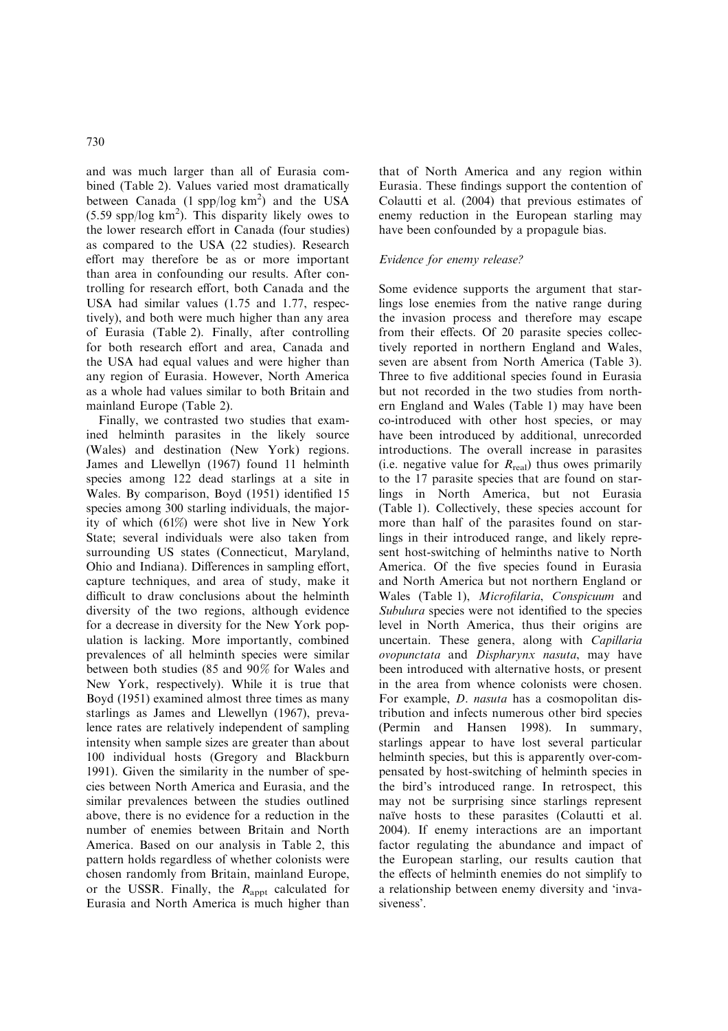and was much larger than all of Eurasia combined (Table 2). Values varied most dramatically between Canada  $(1 \text{ spp}/\text{log km}^2)$  and the USA  $(5.59$  spp/log km<sup>2</sup>). This disparity likely owes to the lower research effort in Canada (four studies) as compared to the USA (22 studies). Research effort may therefore be as or more important than area in confounding our results. After controlling for research effort, both Canada and the USA had similar values (1.75 and 1.77, respectively), and both were much higher than any area of Eurasia (Table 2). Finally, after controlling for both research effort and area, Canada and the USA had equal values and were higher than any region of Eurasia. However, North America as a whole had values similar to both Britain and mainland Europe (Table 2).

Finally, we contrasted two studies that examined helminth parasites in the likely source (Wales) and destination (New York) regions. James and Llewellyn (1967) found 11 helminth species among 122 dead starlings at a site in Wales. By comparison, Boyd (1951) identified 15 species among 300 starling individuals, the majority of which (61%) were shot live in New York State; several individuals were also taken from surrounding US states (Connecticut, Maryland, Ohio and Indiana). Differences in sampling effort, capture techniques, and area of study, make it difficult to draw conclusions about the helminth diversity of the two regions, although evidence for a decrease in diversity for the New York population is lacking. More importantly, combined prevalences of all helminth species were similar between both studies (85 and 90% for Wales and New York, respectively). While it is true that Boyd (1951) examined almost three times as many starlings as James and Llewellyn (1967), prevalence rates are relatively independent of sampling intensity when sample sizes are greater than about 100 individual hosts (Gregory and Blackburn 1991). Given the similarity in the number of species between North America and Eurasia, and the similar prevalences between the studies outlined above, there is no evidence for a reduction in the number of enemies between Britain and North America. Based on our analysis in Table 2, this pattern holds regardless of whether colonists were chosen randomly from Britain, mainland Europe, or the USSR. Finally, the  $R_{\text{appt}}$  calculated for Eurasia and North America is much higher than

that of North America and any region within Eurasia. These findings support the contention of Colautti et al. (2004) that previous estimates of enemy reduction in the European starling may have been confounded by a propagule bias.

## Evidence for enemy release?

Some evidence supports the argument that starlings lose enemies from the native range during the invasion process and therefore may escape from their effects. Of 20 parasite species collectively reported in northern England and Wales, seven are absent from North America (Table 3). Three to five additional species found in Eurasia but not recorded in the two studies from northern England and Wales (Table 1) may have been co-introduced with other host species, or may have been introduced by additional, unrecorded introductions. The overall increase in parasites (i.e. negative value for  $R_{\text{real}}$ ) thus owes primarily to the 17 parasite species that are found on starlings in North America, but not Eurasia (Table 1). Collectively, these species account for more than half of the parasites found on starlings in their introduced range, and likely represent host-switching of helminths native to North America. Of the five species found in Eurasia and North America but not northern England or Wales (Table 1), Microfilaria, Conspicuum and Subulura species were not identified to the species level in North America, thus their origins are uncertain. These genera, along with Capillaria ovopunctata and Dispharynx nasuta, may have been introduced with alternative hosts, or present in the area from whence colonists were chosen. For example, D. nasuta has a cosmopolitan distribution and infects numerous other bird species (Permin and Hansen 1998). In summary, starlings appear to have lost several particular helminth species, but this is apparently over-compensated by host-switching of helminth species in the bird's introduced range. In retrospect, this may not be surprising since starlings represent naïve hosts to these parasites (Colautti et al. 2004). If enemy interactions are an important factor regulating the abundance and impact of the European starling, our results caution that the effects of helminth enemies do not simplify to a relationship between enemy diversity and 'invasiveness'.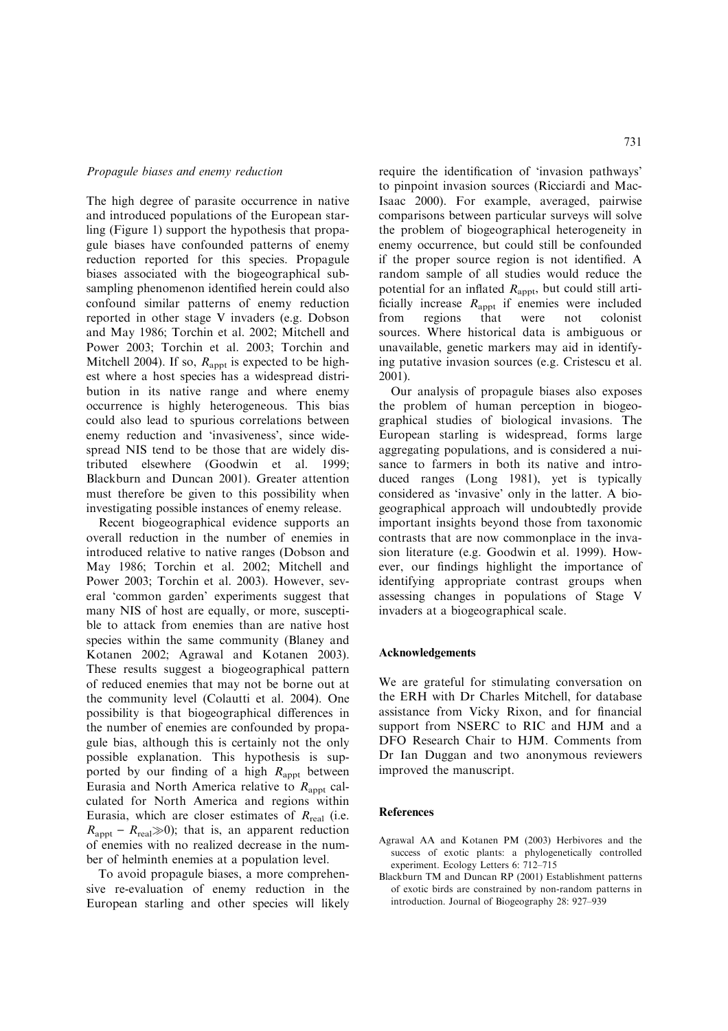#### Propagule biases and enemy reduction

The high degree of parasite occurrence in native and introduced populations of the European starling (Figure 1) support the hypothesis that propagule biases have confounded patterns of enemy reduction reported for this species. Propagule biases associated with the biogeographical subsampling phenomenon identified herein could also confound similar patterns of enemy reduction reported in other stage V invaders (e.g. Dobson and May 1986; Torchin et al. 2002; Mitchell and Power 2003; Torchin et al. 2003; Torchin and Mitchell 2004). If so,  $R_{\text{appt}}$  is expected to be highest where a host species has a widespread distribution in its native range and where enemy occurrence is highly heterogeneous. This bias could also lead to spurious correlations between enemy reduction and 'invasiveness', since widespread NIS tend to be those that are widely distributed elsewhere (Goodwin et al. 1999; Blackburn and Duncan 2001). Greater attention must therefore be given to this possibility when investigating possible instances of enemy release.

Recent biogeographical evidence supports an overall reduction in the number of enemies in introduced relative to native ranges (Dobson and May 1986; Torchin et al. 2002; Mitchell and Power 2003; Torchin et al. 2003). However, several 'common garden' experiments suggest that many NIS of host are equally, or more, susceptible to attack from enemies than are native host species within the same community (Blaney and Kotanen 2002; Agrawal and Kotanen 2003). These results suggest a biogeographical pattern of reduced enemies that may not be borne out at the community level (Colautti et al. 2004). One possibility is that biogeographical differences in the number of enemies are confounded by propagule bias, although this is certainly not the only possible explanation. This hypothesis is supported by our finding of a high  $R_{\text{apot}}$  between Eurasia and North America relative to  $R<sub>anot</sub>$  calculated for North America and regions within Eurasia, which are closer estimates of  $R_{\text{real}}$  (i.e.  $R_{\text{appt}} - R_{\text{real}} \gg 0$ ; that is, an apparent reduction of enemies with no realized decrease in the number of helminth enemies at a population level.

To avoid propagule biases, a more comprehensive re-evaluation of enemy reduction in the European starling and other species will likely require the identification of 'invasion pathways' to pinpoint invasion sources (Ricciardi and Mac-Isaac 2000). For example, averaged, pairwise comparisons between particular surveys will solve the problem of biogeographical heterogeneity in enemy occurrence, but could still be confounded if the proper source region is not identified. A random sample of all studies would reduce the potential for an inflated  $R_{\text{appt}}$ , but could still artificially increase  $R_{\text{appt}}$  if enemies were included from regions that were not colonist sources. Where historical data is ambiguous or unavailable, genetic markers may aid in identifying putative invasion sources (e.g. Cristescu et al. 2001).

Our analysis of propagule biases also exposes the problem of human perception in biogeographical studies of biological invasions. The European starling is widespread, forms large aggregating populations, and is considered a nuisance to farmers in both its native and introduced ranges (Long 1981), yet is typically considered as 'invasive' only in the latter. A biogeographical approach will undoubtedly provide important insights beyond those from taxonomic contrasts that are now commonplace in the invasion literature (e.g. Goodwin et al. 1999). However, our findings highlight the importance of identifying appropriate contrast groups when assessing changes in populations of Stage V invaders at a biogeographical scale.

#### Acknowledgements

We are grateful for stimulating conversation on the ERH with Dr Charles Mitchell, for database assistance from Vicky Rixon, and for financial support from NSERC to RIC and HJM and a DFO Research Chair to HJM. Comments from Dr Ian Duggan and two anonymous reviewers improved the manuscript.

#### References

- Agrawal AA and Kotanen PM (2003) Herbivores and the success of exotic plants: a phylogenetically controlled experiment. Ecology Letters 6: 712–715
- Blackburn TM and Duncan RP (2001) Establishment patterns of exotic birds are constrained by non-random patterns in introduction. Journal of Biogeography 28: 927–939